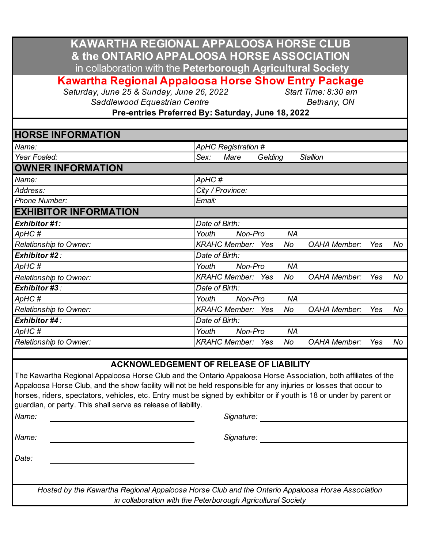| KAWARTHA REGIONAL APPALOOSA HORSE CLUB                      |
|-------------------------------------------------------------|
| & the ONTARIO APPALOOSA HORSE ASSOCIATION                   |
| in collaboration with the Peterborough Agricultural Society |

**Kawartha Regional Appaloosa Horse Show Entry Package**

*Saturday, June 25 & Sunday, June 26, 2022 Start Time: 8:30 am*

**Saddlewood Equestrian Centre Centre Bethany, ON** 

**Pre-entries Preferred By: Saturday, June 18, 2022**

## **HORSE INFORMATION**

| Name:                         | ApHC Registration #                                                   |  |  |  |  |  |  |  |
|-------------------------------|-----------------------------------------------------------------------|--|--|--|--|--|--|--|
| Year Foaled:                  | Mare<br>Gelding<br><b>Stallion</b><br>Sex:                            |  |  |  |  |  |  |  |
| <b>OWNER INFORMATION</b>      |                                                                       |  |  |  |  |  |  |  |
| Name:                         | ApHC#                                                                 |  |  |  |  |  |  |  |
| Address:                      | City / Province:                                                      |  |  |  |  |  |  |  |
| <b>Phone Number:</b>          | Email:                                                                |  |  |  |  |  |  |  |
| <b>EXHIBITOR INFORMATION</b>  |                                                                       |  |  |  |  |  |  |  |
| <b>Exhibitor #1:</b>          | Date of Birth:                                                        |  |  |  |  |  |  |  |
| ApHC#                         | <b>NA</b><br>Non-Pro<br>Youth                                         |  |  |  |  |  |  |  |
| <b>Relationship to Owner:</b> | <b>KRAHC Member:</b><br>No<br><b>OAHA Member:</b><br>No<br>Yes<br>Yes |  |  |  |  |  |  |  |
| <b>Exhibitor #2:</b>          | Date of Birth:                                                        |  |  |  |  |  |  |  |
| ApHC#                         | <b>NA</b><br>Youth<br>Non-Pro                                         |  |  |  |  |  |  |  |
| Relationship to Owner:        | <b>KRAHC Member:</b><br>No<br><b>OAHA Member:</b><br>Yes<br>No<br>Yes |  |  |  |  |  |  |  |
| <b>Exhibitor #3:</b>          | Date of Birth:                                                        |  |  |  |  |  |  |  |
| ApHC #                        | <b>NA</b><br>Youth<br>Non-Pro                                         |  |  |  |  |  |  |  |
| Relationship to Owner:        | <b>KRAHC Member:</b><br>No<br><b>OAHA Member:</b><br>Yes<br>No<br>Yes |  |  |  |  |  |  |  |
| Exhibitor #4:                 | Date of Birth:                                                        |  |  |  |  |  |  |  |
| ApHC#                         | <b>NA</b><br>Non-Pro<br>Youth                                         |  |  |  |  |  |  |  |
| Relationship to Owner:        | <b>KRAHC Member:</b><br>No<br><b>OAHA Member:</b><br>No<br>Yes<br>Yes |  |  |  |  |  |  |  |

## **ACKNOWLEDGEMENT OF RELEASE OF LIABILITY**

The Kawartha Regional Appaloosa Horse Club and the Ontario Appaloosa Horse Association, both affiliates of the Appaloosa Horse Club, and the show facility will not be held responsible for any injuries or losses that occur to horses, riders, spectators, vehicles, etc. Entry must be signed by exhibitor or if youth is 18 or under by parent or guardian, or party. This shall serve as release of liability.

*Name: Signature:*

*Name: Signature:*

*Date:*

*Hosted by the Kawartha Regional Appaloosa Horse Club and the Ontario Appaloosa Horse Association in collaboration with the Peterborough Agricultural Society*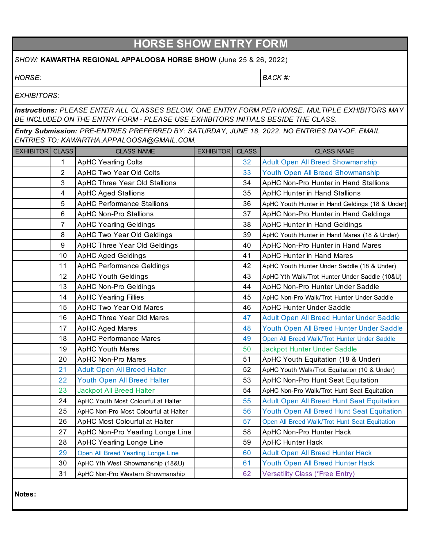|                                                                                                                                                                                     |                | <b>HORSE SHOW ENTRY FORM</b>          |                  |              |                                                  |  |
|-------------------------------------------------------------------------------------------------------------------------------------------------------------------------------------|----------------|---------------------------------------|------------------|--------------|--------------------------------------------------|--|
| SHOW: KAWARTHA REGIONAL APPALOOSA HORSE SHOW (June 25 & 26, 2022)                                                                                                                   |                |                                       |                  |              |                                                  |  |
| HORSE:                                                                                                                                                                              |                |                                       |                  |              | <b>BACK #:</b>                                   |  |
| <b>EXHIBITORS:</b>                                                                                                                                                                  |                |                                       |                  |              |                                                  |  |
| Instructions: PLEASE ENTER ALL CLASSES BELOW. ONE ENTRY FORM PER HORSE. MULTIPLE EXHIBITORS MAY<br>BE INCLUDED ON THE ENTRY FORM - PLEASE USE EXHIBITORS INITIALS BESIDE THE CLASS. |                |                                       |                  |              |                                                  |  |
| Entry Submission: PRE-ENTRIES PREFERRED BY: SATURDAY, JUNE 18, 2022. NO ENTRIES DAY-OF. EMAIL<br>ENTRIES TO: KAWARTHA.APPALOOSA@GMAIL.COM.                                          |                |                                       |                  |              |                                                  |  |
| <b>EXHIBITOR CLASS</b>                                                                                                                                                              |                | <b>CLASS NAME</b>                     | <b>EXHIBITOR</b> | <b>CLASS</b> | <b>CLASS NAME</b>                                |  |
|                                                                                                                                                                                     | 1              | <b>ApHC Yearling Colts</b>            |                  | 32           | <b>Adult Open All Breed Showmanship</b>          |  |
|                                                                                                                                                                                     | $\overline{2}$ | <b>ApHC Two Year Old Colts</b>        |                  | 33           | Youth Open All Breed Showmanship                 |  |
|                                                                                                                                                                                     | 3              | <b>ApHC Three Year Old Stallions</b>  |                  | 34           | ApHC Non-Pro Hunter in Hand Stallions            |  |
|                                                                                                                                                                                     | 4              | <b>ApHC Aged Stallions</b>            |                  | 35           | <b>ApHC Hunter in Hand Stallions</b>             |  |
|                                                                                                                                                                                     | 5              | <b>ApHC Performance Stallions</b>     |                  | 36           | ApHC Youth Hunter in Hand Geldings (18 & Under)  |  |
|                                                                                                                                                                                     | 6              | <b>ApHC Non-Pro Stallions</b>         |                  | 37           | ApHC Non-Pro Hunter in Hand Geldings             |  |
|                                                                                                                                                                                     | $\overline{7}$ | <b>ApHC Yearling Geldings</b>         |                  | 38           | ApHC Hunter in Hand Geldings                     |  |
|                                                                                                                                                                                     | 8              | ApHC Two Year Old Geldings            |                  | 39           | ApHC Youth Hunter in Hand Mares (18 & Under)     |  |
|                                                                                                                                                                                     | 9              | ApHC Three Year Old Geldings          |                  | 40           | ApHC Non-Pro Hunter in Hand Mares                |  |
|                                                                                                                                                                                     | 10             | <b>ApHC Aged Geldings</b>             |                  | 41           | <b>ApHC Hunter in Hand Mares</b>                 |  |
|                                                                                                                                                                                     | 11             | <b>ApHC Performance Geldings</b>      |                  | 42           | ApHC Youth Hunter Under Saddle (18 & Under)      |  |
|                                                                                                                                                                                     | 12             | <b>ApHC Youth Geldings</b>            |                  | 43           | ApHC Yth Walk/Trot Hunter Under Saddle (10&U)    |  |
|                                                                                                                                                                                     | 13             | <b>ApHC Non-Pro Geldings</b>          |                  | 44           | ApHC Non-Pro Hunter Under Saddle                 |  |
|                                                                                                                                                                                     | 14             | <b>ApHC Yearling Fillies</b>          |                  | 45           | ApHC Non-Pro Walk/Trot Hunter Under Saddle       |  |
|                                                                                                                                                                                     | 15             | <b>ApHC Two Year Old Mares</b>        |                  | 46           | <b>ApHC Hunter Under Saddle</b>                  |  |
|                                                                                                                                                                                     | 16             | <b>ApHC Three Year Old Mares</b>      |                  | 47           | Adult Open All Breed Hunter Under Saddle         |  |
|                                                                                                                                                                                     | 17             | <b>ApHC Aged Mares</b>                |                  | 48           | Youth Open All Breed Hunter Under Saddle         |  |
|                                                                                                                                                                                     | 18             | <b>ApHC Performance Mares</b>         |                  | 49           | Open All Breed Walk/Trot Hunter Under Saddle     |  |
|                                                                                                                                                                                     | 19             | <b>ApHC Youth Mares</b>               |                  | 50           | <b>Jackpot Hunter Under Saddle</b>               |  |
|                                                                                                                                                                                     | 20             | ApHC Non-Pro Mares                    |                  | 51           | ApHC Youth Equitation (18 & Under)               |  |
|                                                                                                                                                                                     | 21             | <b>Adult Open All Breed Halter</b>    |                  | 52           | ApHC Youth Walk/Trot Equitation (10 & Under)     |  |
|                                                                                                                                                                                     | 22             | Youth Open All Breed Halter           |                  | 53           | ApHC Non-Pro Hunt Seat Equitation                |  |
|                                                                                                                                                                                     | 23             | <b>Jackpot All Breed Halter</b>       |                  | 54           | ApHC Non-Pro Walk/Trot Hunt Seat Equitation      |  |
|                                                                                                                                                                                     | 24             | ApHC Youth Most Colourful at Halter   |                  | 55           | <b>Adult Open All Breed Hunt Seat Equitation</b> |  |
|                                                                                                                                                                                     | 25             | ApHC Non-Pro Most Colourful at Halter |                  | 56           | Youth Open All Breed Hunt Seat Equitation        |  |
|                                                                                                                                                                                     | 26             | ApHC Most Colourful at Halter         |                  | 57           | Open All Breed Walk/Trot Hunt Seat Equitation    |  |
|                                                                                                                                                                                     | 27             | ApHC Non-Pro Yearling Longe Line      |                  | 58           | ApHC Non-Pro Hunter Hack                         |  |
|                                                                                                                                                                                     | 28             | ApHC Yearling Longe Line              |                  | 59           | <b>ApHC Hunter Hack</b>                          |  |
|                                                                                                                                                                                     | 29             | Open All Breed Yearling Longe Line    |                  | 60           | <b>Adult Open All Breed Hunter Hack</b>          |  |
|                                                                                                                                                                                     | 30             | ApHC Yth West Showmanship (18&U)      |                  | 61           | Youth Open All Breed Hunter Hack                 |  |
|                                                                                                                                                                                     | 31             | ApHC Non-Pro Western Showmanship      |                  | 62           | <b>Versatility Class (*Free Entry)</b>           |  |
| Notes:                                                                                                                                                                              |                |                                       |                  |              |                                                  |  |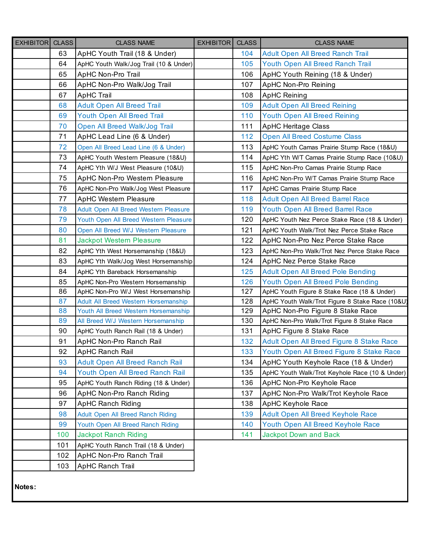| EXHIBITOR CLASS |     | <b>CLASS NAME</b>                      | EXHIBITOR | <b>CLASS</b> | <b>CLASS NAME</b>                               |
|-----------------|-----|----------------------------------------|-----------|--------------|-------------------------------------------------|
|                 | 63  | ApHC Youth Trail (18 & Under)          |           | 104          | Adult Open All Breed Ranch Trail                |
|                 | 64  | ApHC Youth Walk/Jog Trail (10 & Under) |           | 105          | Youth Open All Breed Ranch Trail                |
|                 | 65  | ApHC Non-Pro Trail                     |           | 106          | ApHC Youth Reining (18 & Under)                 |
|                 | 66  | ApHC Non-Pro Walk/Jog Trail            |           | 107          | ApHC Non-Pro Reining                            |
|                 | 67  | <b>ApHC Trail</b>                      |           | 108          | <b>ApHC Reining</b>                             |
|                 | 68  | <b>Adult Open All Breed Trail</b>      |           | 109          | <b>Adult Open All Breed Reining</b>             |
|                 | 69  | <b>Youth Open All Breed Trail</b>      |           | 110          | <b>Youth Open All Breed Reining</b>             |
|                 | 70  | Open All Breed Walk/Jog Trail          |           | 111          | <b>ApHC Heritage Class</b>                      |
|                 | 71  | ApHC Lead Line (6 & Under)             |           | 112          | <b>Open All Breed Costume Class</b>             |
|                 | 72  | Open All Breed Lead Line (6 & Under)   |           | 113          | ApHC Youth Camas Prairie Stump Race (18&U)      |
|                 | 73  | ApHC Youth Western Pleasure (18&U)     |           | 114          | ApHC Yth W/T Camas Prairie Stump Race (10&U)    |
|                 | 74  | ApHC Yth W/J West Pleasure (10&U)      |           | 115          | ApHC Non-Pro Camas Prairie Stump Race           |
|                 | 75  | ApHC Non-Pro Western Pleasure          |           | 116          | ApHC Non-Pro W/T Camas Prairie Stump Race       |
|                 | 76  | ApHC Non-Pro Walk/Jog West Pleasure    |           | 117          | ApHC Camas Prairie Stump Race                   |
|                 | 77  | <b>ApHC Western Pleasure</b>           |           | 118          | <b>Adult Open All Breed Barrel Race</b>         |
|                 | 78  | Adult Open All Breed Western Pleasure  |           | 119          | Youth Open All Breed Barrel Race                |
|                 | 79  | Youth Open All Breed Western Pleasure  |           | 120          | ApHC Youth Nez Perce Stake Race (18 & Under)    |
|                 | 80  | Open All Breed W/J Western Pleasure    |           | 121          | ApHC Youth Walk/Trot Nez Perce Stake Race       |
|                 | 81  | <b>Jackpot Western Pleasure</b>        |           | 122          | ApHC Non-Pro Nez Perce Stake Race               |
|                 | 82  | ApHC Yth West Horsemanship (18&U)      |           | 123          | ApHC Non-Pro Walk/Trot Nez Perce Stake Race     |
|                 | 83  | ApHC Yth Walk/Jog West Horsemanship    |           | 124          | ApHC Nez Perce Stake Race                       |
|                 | 84  | ApHC Yth Bareback Horsemanship         |           | 125          | <b>Adult Open All Breed Pole Bending</b>        |
|                 | 85  | ApHC Non-Pro Western Horsemanship      |           | 126          | Youth Open All Breed Pole Bending               |
|                 | 86  | ApHC Non-Pro W/J West Horsemanship     |           | 127          | ApHC Youth Figure 8 Stake Race (18 & Under)     |
|                 | 87  | Adult All Breed Western Horsemanship   |           | 128          | ApHC Youth Walk/Trot Figure 8 Stake Race (10&U) |
|                 | 88  | Youth All Breed Western Horsemanship   |           | 129          | ApHC Non-Pro Figure 8 Stake Race                |
|                 | 89  | All Breed W/J Western Horsemanship     |           | 130          | ApHC Non-Pro Walk/Trot Figure 8 Stake Race      |
|                 | 90  | ApHC Youth Ranch Rail (18 & Under)     |           | 131          | ApHC Figure 8 Stake Race                        |
|                 | 91  | ApHC Non-Pro Ranch Rail                |           | 132          | Adult Open All Breed Figure 8 Stake Race        |
|                 | 92  | ApHC Ranch Rail                        |           | 133          | Youth Open All Breed Figure 8 Stake Race        |
|                 | 93  | Adult Open All Breed Ranch Rail        |           | 134          | ApHC Youth Keyhole Race (18 & Under)            |
|                 | 94  | Youth Open All Breed Ranch Rail        |           | 135          | ApHC Youth Walk/Trot Keyhole Race (10 & Under)  |
|                 | 95  | ApHC Youth Ranch Riding (18 & Under)   |           | 136          | ApHC Non-Pro Keyhole Race                       |
|                 | 96  | ApHC Non-Pro Ranch Riding              |           | 137          | ApHC Non-Pro Walk/Trot Keyhole Race             |
|                 | 97  | <b>ApHC Ranch Riding</b>               |           | 138          | ApHC Keyhole Race                               |
|                 | 98  | Adult Open All Breed Ranch Riding      |           | 139          | Adult Open All Breed Keyhole Race               |
|                 | 99  | Youth Open All Breed Ranch Riding      |           | 140          | Youth Open All Breed Keyhole Race               |
|                 | 100 | <b>Jackpot Ranch Riding</b>            |           | 141          | <b>Jackpot Down and Back</b>                    |
|                 | 101 | ApHC Youth Ranch Trail (18 & Under)    |           |              |                                                 |
|                 | 102 | ApHC Non-Pro Ranch Trail               |           |              |                                                 |
|                 | 103 | ApHC Ranch Trail                       |           |              |                                                 |
| Notes:          |     |                                        |           |              |                                                 |